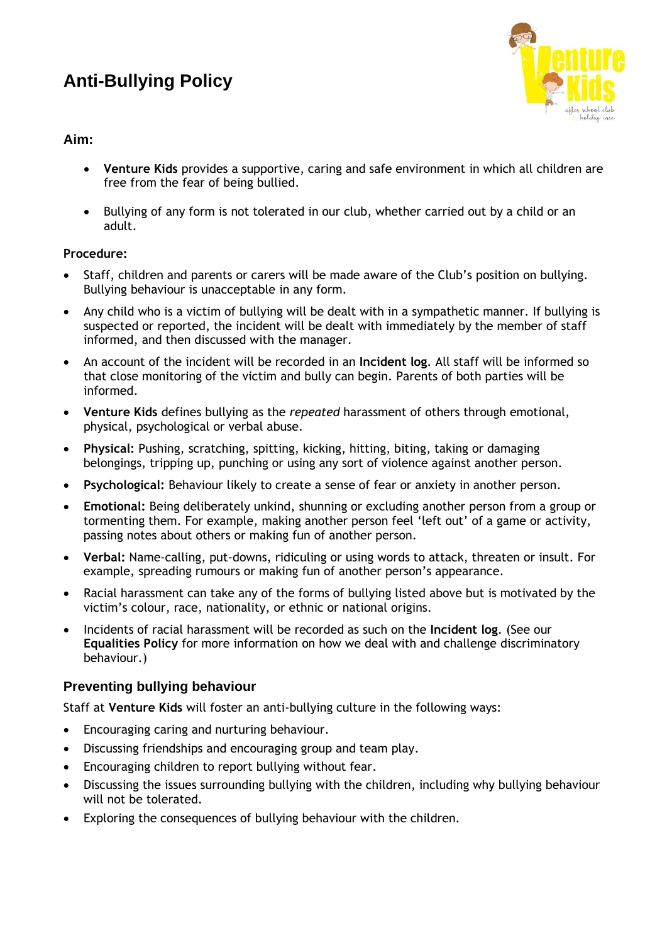# **Anti-Bullying Policy**



### **Aim:**

- **Venture Kids** provides a supportive, caring and safe environment in which all children are free from the fear of being bullied.
- Bullying of any form is not tolerated in our club, whether carried out by a child or an adult.

#### **Procedure:**

- Staff, children and parents or carers will be made aware of the Club's position on bullying. Bullying behaviour is unacceptable in any form.
- Any child who is a victim of bullying will be dealt with in a sympathetic manner. If bullying is suspected or reported, the incident will be dealt with immediately by the member of staff informed, and then discussed with the manager.
- An account of the incident will be recorded in an **Incident log**. All staff will be informed so that close monitoring of the victim and bully can begin. Parents of both parties will be informed.
- **Venture Kids** defines bullying as the *repeated* harassment of others through emotional, physical, psychological or verbal abuse.
- **Physical:** Pushing, scratching, spitting, kicking, hitting, biting, taking or damaging belongings, tripping up, punching or using any sort of violence against another person.
- **Psychological:** Behaviour likely to create a sense of fear or anxiety in another person.
- **Emotional:** Being deliberately unkind, shunning or excluding another person from a group or tormenting them. For example, making another person feel 'left out' of a game or activity, passing notes about others or making fun of another person.
- **Verbal:** Name-calling, put-downs, ridiculing or using words to attack, threaten or insult. For example, spreading rumours or making fun of another person's appearance.
- Racial harassment can take any of the forms of bullying listed above but is motivated by the victim's colour, race, nationality, or ethnic or national origins.
- Incidents of racial harassment will be recorded as such on the **Incident log**. (See our **Equalities Policy** for more information on how we deal with and challenge discriminatory behaviour.)

## **Preventing bullying behaviour**

Staff at **Venture Kids** will foster an anti-bullying culture in the following ways:

- Encouraging caring and nurturing behaviour.
- Discussing friendships and encouraging group and team play.
- Encouraging children to report bullying without fear.
- Discussing the issues surrounding bullying with the children, including why bullying behaviour will not be tolerated.
- Exploring the consequences of bullying behaviour with the children.